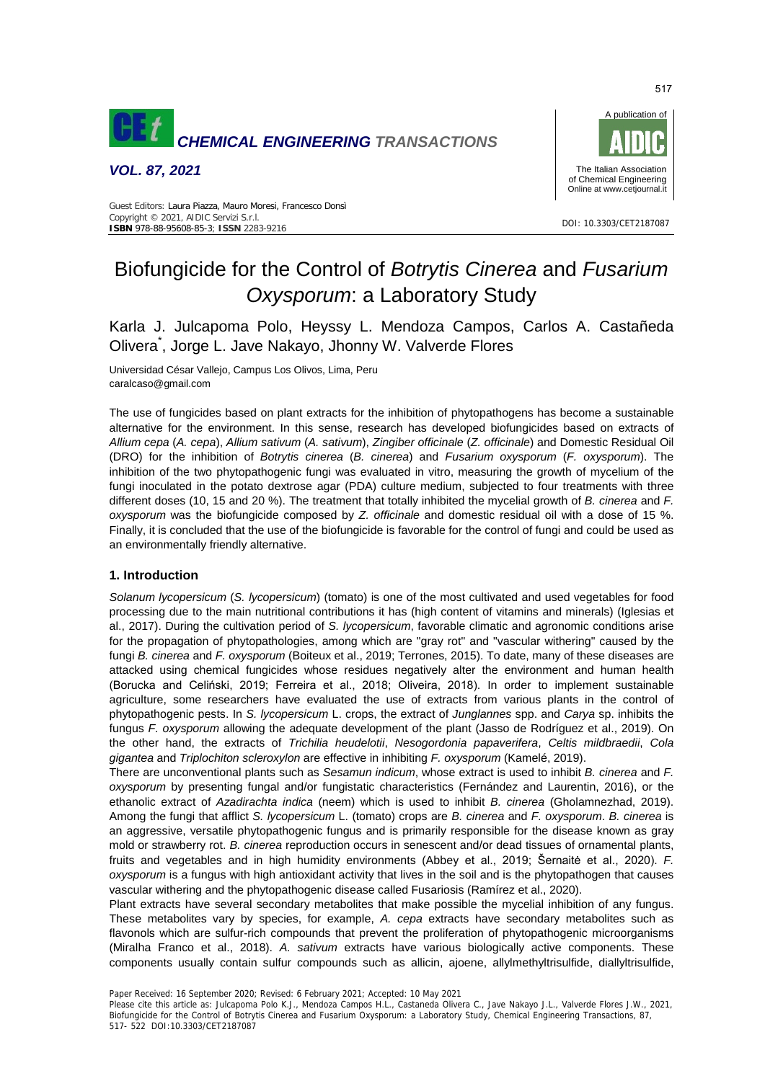

*VOL. 87, 2021* 



#### DOI: 10.3303/CET2187087 **ISBN** 978-88-95608-85-3; **ISSN** 2283-9216 Guest Editors: Laura Piazza, Mauro Moresi, Francesco Donsì Copyright © 2021, AIDIC Servizi S.r.l.

# Biofungicide for the Control of *Botrytis Cinerea* and *Fusarium Oxysporum*: a Laboratory Study

Karla J. Julcapoma Polo, Heyssy L. Mendoza Campos, Carlos A. Castañeda Olivera\* , Jorge L. Jave Nakayo, Jhonny W. Valverde Flores

Universidad César Vallejo, Campus Los Olivos, Lima, Peru caralcaso@gmail.com

The use of fungicides based on plant extracts for the inhibition of phytopathogens has become a sustainable alternative for the environment. In this sense, research has developed biofungicides based on extracts of *Allium cepa* (*A. cepa*), *Allium sativum* (*A. sativum*), *Zingiber officinale* (*Z. officinale*) and Domestic Residual Oil (DRO) for the inhibition of *Botrytis cinerea* (*B. cinerea*) and *Fusarium oxysporum* (*F. oxysporum*). The inhibition of the two phytopathogenic fungi was evaluated in vitro, measuring the growth of mycelium of the fungi inoculated in the potato dextrose agar (PDA) culture medium, subjected to four treatments with three different doses (10, 15 and 20 %). The treatment that totally inhibited the mycelial growth of *B. cinerea* and *F. oxysporum* was the biofungicide composed by *Z. officinale* and domestic residual oil with a dose of 15 %. Finally, it is concluded that the use of the biofungicide is favorable for the control of fungi and could be used as an environmentally friendly alternative.

# **1. Introduction**

*Solanum lycopersicum* (*S. lycopersicum*) (tomato) is one of the most cultivated and used vegetables for food processing due to the main nutritional contributions it has (high content of vitamins and minerals) (Iglesias et al., 2017). During the cultivation period of *S. lycopersicum*, favorable climatic and agronomic conditions arise for the propagation of phytopathologies, among which are "gray rot" and "vascular withering" caused by the fungi *B. cinerea* and *F. oxysporum* (Boiteux et al., 2019; Terrones, 2015). To date, many of these diseases are attacked using chemical fungicides whose residues negatively alter the environment and human health (Borucka and Celiński, 2019; Ferreira et al., 2018; Oliveira, 2018). In order to implement sustainable agriculture, some researchers have evaluated the use of extracts from various plants in the control of phytopathogenic pests. In *S. lycopersicum* L. crops, the extract of *Junglannes* spp. and *Carya* sp. inhibits the fungus *F. oxysporum* allowing the adequate development of the plant (Jasso de Rodríguez et al., 2019). On the other hand, the extracts of *Trichilia heudelotii*, *Nesogordonia papaverifera*, *Celtis mildbraedii*, *Cola gigantea* and *Triplochiton scleroxylon* are effective in inhibiting *F. oxysporum* (Kamelé, 2019).

There are unconventional plants such as *Sesamun indicum*, whose extract is used to inhibit *B. cinerea* and *F. oxysporum* by presenting fungal and/or fungistatic characteristics (Fernández and Laurentin, 2016), or the ethanolic extract of *Azadirachta indica* (neem) which is used to inhibit *B. cinerea* (Gholamnezhad, 2019). Among the fungi that afflict *S. lycopersicum* L. (tomato) crops are *B. cinerea* and *F. oxysporum*. *B. cinerea* is an aggressive, versatile phytopathogenic fungus and is primarily responsible for the disease known as gray mold or strawberry rot. *B. cinerea* reproduction occurs in senescent and/or dead tissues of ornamental plants, fruits and vegetables and in high humidity environments (Abbey et al., 2019; Šernaitė et al., 2020). *F. oxysporum* is a fungus with high antioxidant activity that lives in the soil and is the phytopathogen that causes vascular withering and the phytopathogenic disease called Fusariosis (Ramírez et al., 2020).

Plant extracts have several secondary metabolites that make possible the mycelial inhibition of any fungus. These metabolites vary by species, for example, *A. cepa* extracts have secondary metabolites such as flavonols which are sulfur-rich compounds that prevent the proliferation of phytopathogenic microorganisms (Miralha Franco et al., 2018). *A. sativum* extracts have various biologically active components. These components usually contain sulfur compounds such as allicin, ajoene, allylmethyltrisulfide, diallyltrisulfide,

Paper Received: 16 September 2020; Revised: 6 February 2021; Accepted: 10 May 2021

Please cite this article as: Julcapoma Polo K.J., Mendoza Campos H.L., Castaneda Olivera C., Jave Nakayo J.L., Valverde Flores J.W., 2021, Biofungicide for the Control of Botrytis Cinerea and Fusarium Oxysporum: a Laboratory Study, Chemical Engineering Transactions, 87, 517- 522 DOI:10.3303/CET2187087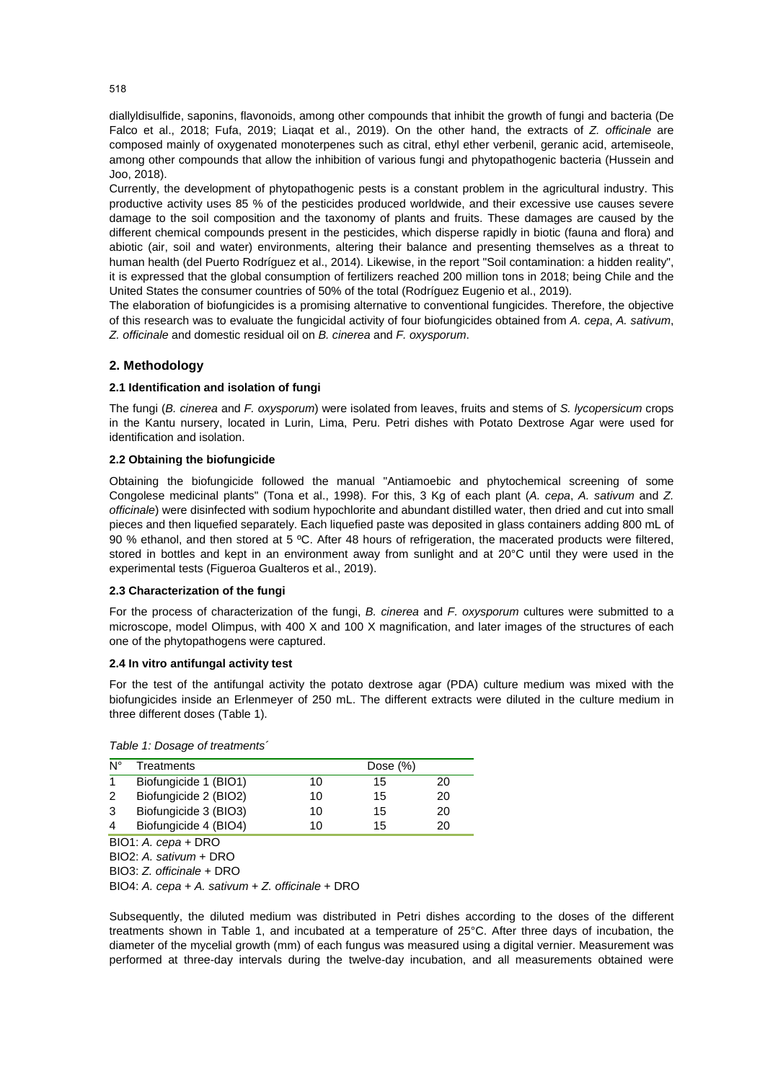diallyldisulfide, saponins, flavonoids, among other compounds that inhibit the growth of fungi and bacteria (De Falco et al., 2018; Fufa, 2019; Liaqat et al., 2019). On the other hand, the extracts of *Z. officinale* are composed mainly of oxygenated monoterpenes such as citral, ethyl ether verbenil, geranic acid, artemiseole, among other compounds that allow the inhibition of various fungi and phytopathogenic bacteria (Hussein and Joo, 2018).

Currently, the development of phytopathogenic pests is a constant problem in the agricultural industry. This productive activity uses 85 % of the pesticides produced worldwide, and their excessive use causes severe damage to the soil composition and the taxonomy of plants and fruits. These damages are caused by the different chemical compounds present in the pesticides, which disperse rapidly in biotic (fauna and flora) and abiotic (air, soil and water) environments, altering their balance and presenting themselves as a threat to human health (del Puerto Rodríguez et al., 2014). Likewise, in the report "Soil contamination: a hidden reality", it is expressed that the global consumption of fertilizers reached 200 million tons in 2018; being Chile and the United States the consumer countries of 50% of the total (Rodríguez Eugenio et al., 2019).

The elaboration of biofungicides is a promising alternative to conventional fungicides. Therefore, the objective of this research was to evaluate the fungicidal activity of four biofungicides obtained from *A. cepa*, *A. sativum*, *Z. officinale* and domestic residual oil on *B. cinerea* and *F. oxysporum*.

# **2. Methodology**

### **2.1 Identification and isolation of fungi**

The fungi (*B. cinerea* and *F. oxysporum*) were isolated from leaves, fruits and stems of *S. lycopersicum* crops in the Kantu nursery, located in Lurin, Lima, Peru. Petri dishes with Potato Dextrose Agar were used for identification and isolation.

### **2.2 Obtaining the biofungicide**

Obtaining the biofungicide followed the manual "Antiamoebic and phytochemical screening of some Congolese medicinal plants" (Tona et al., 1998). For this, 3 Kg of each plant (*A. cepa*, *A. sativum* and *Z. officinale*) were disinfected with sodium hypochlorite and abundant distilled water, then dried and cut into small pieces and then liquefied separately. Each liquefied paste was deposited in glass containers adding 800 mL of 90 % ethanol, and then stored at 5 ºC. After 48 hours of refrigeration, the macerated products were filtered, stored in bottles and kept in an environment away from sunlight and at 20°C until they were used in the experimental tests (Figueroa Gualteros et al., 2019).

#### **2.3 Characterization of the fungi**

For the process of characterization of the fungi, *B. cinerea* and *F. oxysporum* cultures were submitted to a microscope, model Olimpus, with 400 X and 100 X magnification, and later images of the structures of each one of the phytopathogens were captured.

#### **2.4 In vitro antifungal activity test**

For the test of the antifungal activity the potato dextrose agar (PDA) culture medium was mixed with the biofungicides inside an Erlenmeyer of 250 mL. The different extracts were diluted in the culture medium in three different doses (Table 1).

*Table 1: Dosage of treatments´*

| Ν° | Treatments            |    | Dose $(\%)$ |    |  |  |  |  |
|----|-----------------------|----|-------------|----|--|--|--|--|
|    | Biofungicide 1 (BIO1) | 10 | 15          | 20 |  |  |  |  |
| 2  | Biofungicide 2 (BIO2) | 10 | 15          | 20 |  |  |  |  |
| 3  | Biofungicide 3 (BIO3) | 10 | 15          | 20 |  |  |  |  |
| Δ  | Biofungicide 4 (BIO4) | 10 | 15          | 20 |  |  |  |  |

BIO1: *A. cepa* + DRO

BIO2: *A. sativum* + DRO

BIO3: *Z. officinale* + DRO

BIO4: *A. cepa* + *A. sativum* + *Z. officinale* + DRO

Subsequently, the diluted medium was distributed in Petri dishes according to the doses of the different treatments shown in Table 1, and incubated at a temperature of 25°C. After three days of incubation, the diameter of the mycelial growth (mm) of each fungus was measured using a digital vernier. Measurement was performed at three-day intervals during the twelve-day incubation, and all measurements obtained were

518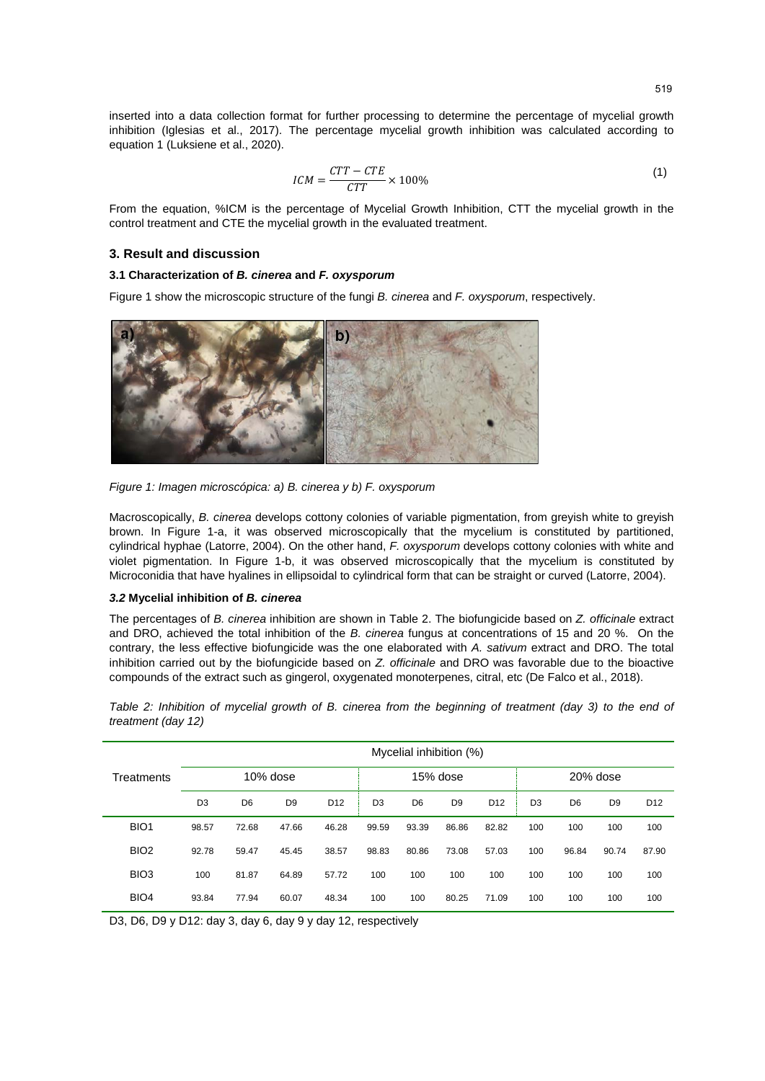inserted into a data collection format for further processing to determine the percentage of mycelial growth inhibition (Iglesias et al., 2017). The percentage mycelial growth inhibition was calculated according to equation 1 (Luksiene et al., 2020).

$$
ICM = \frac{CTT - CTE}{CTT} \times 100\%
$$
 (1)

From the equation, %ICM is the percentage of Mycelial Growth Inhibition, CTT the mycelial growth in the control treatment and CTE the mycelial growth in the evaluated treatment.

#### **3. Result and discussion**

## **3.1 Characterization of** *B. cinerea* **and** *F. oxysporum*

Figure 1 show the microscopic structure of the fungi *B. cinerea* and *F. oxysporum*, respectively.



*Figure 1: Imagen microscópica: a) B. cinerea y b) F. oxysporum*

Macroscopically, *B. cinerea* develops cottony colonies of variable pigmentation, from greyish white to greyish brown. In Figure 1-a, it was observed microscopically that the mycelium is constituted by partitioned, cylindrical hyphae (Latorre, 2004). On the other hand, *F. oxysporum* develops cottony colonies with white and violet pigmentation. In Figure 1-b, it was observed microscopically that the mycelium is constituted by Microconidia that have hyalines in ellipsoidal to cylindrical form that can be straight or curved (Latorre, 2004).

#### *3.2* **Mycelial inhibition of** *B. cinerea*

The percentages of *B. cinerea* inhibition are shown in Table 2. The biofungicide based on *Z. officinale* extract and DRO, achieved the total inhibition of the *B. cinerea* fungus at concentrations of 15 and 20 %. On the contrary, the less effective biofungicide was the one elaborated with *A. sativum* extract and DRO. The total inhibition carried out by the biofungicide based on *Z. officinale* and DRO was favorable due to the bioactive compounds of the extract such as gingerol, oxygenated monoterpenes, citral, etc (De Falco et al., 2018).

*Table 2: Inhibition of mycelial growth of B. cinerea from the beginning of treatment (day 3) to the end of treatment (day 12)*

|                  | Mycelial inhibition (%) |                |                |                 |                |                |                |                 |                |                |                |                 |
|------------------|-------------------------|----------------|----------------|-----------------|----------------|----------------|----------------|-----------------|----------------|----------------|----------------|-----------------|
| Treatments       | 10% dose                |                |                |                 | 15% dose       |                |                | 20% dose        |                |                |                |                 |
|                  | D <sub>3</sub>          | D <sub>6</sub> | D <sub>9</sub> | D <sub>12</sub> | D <sub>3</sub> | D <sub>6</sub> | D <sub>9</sub> | D <sub>12</sub> | D <sub>3</sub> | D <sub>6</sub> | D <sub>9</sub> | D <sub>12</sub> |
| BIO <sub>1</sub> | 98.57                   | 72.68          | 47.66          | 46.28           | 99.59          | 93.39          | 86.86          | 82.82           | 100            | 100            | 100            | 100             |
| BIO <sub>2</sub> | 92.78                   | 59.47          | 45.45          | 38.57           | 98.83          | 80.86          | 73.08          | 57.03           | 100            | 96.84          | 90.74          | 87.90           |
| BIO <sub>3</sub> | 100                     | 81.87          | 64.89          | 57.72           | 100            | 100            | 100            | 100             | 100            | 100            | 100            | 100             |
| BIO <sub>4</sub> | 93.84                   | 77.94          | 60.07          | 48.34           | 100            | 100            | 80.25          | 71.09           | 100            | 100            | 100            | 100             |

D3, D6, D9 y D12: day 3, day 6, day 9 y day 12, respectively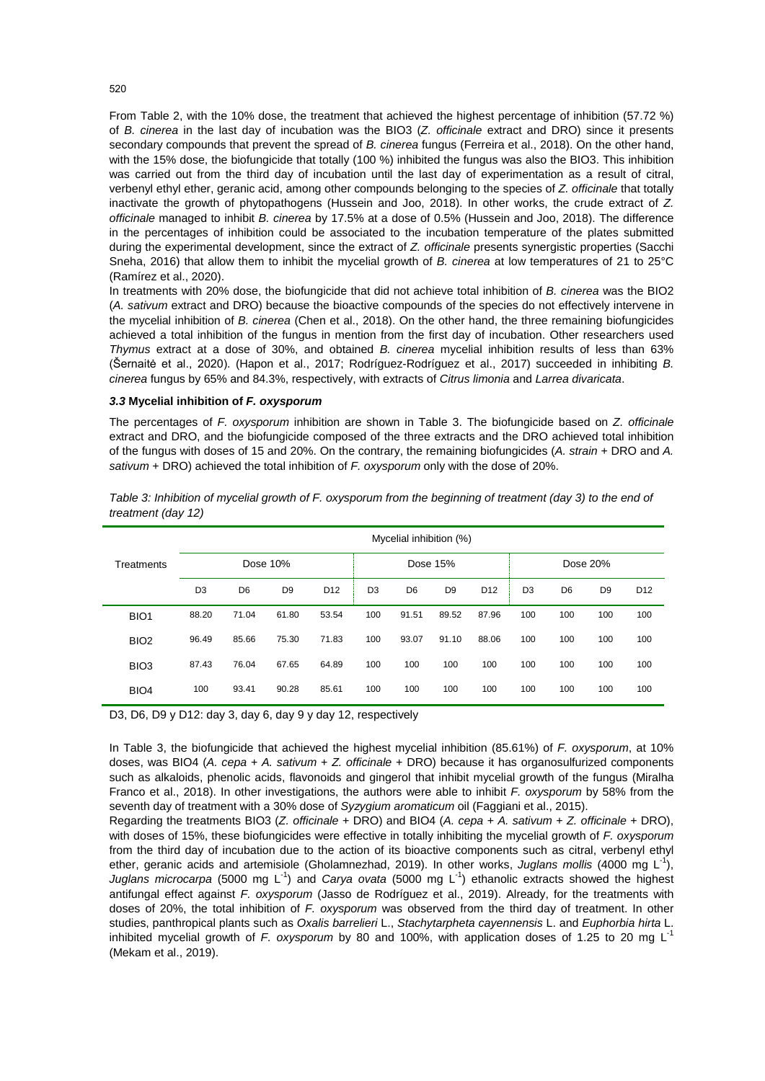From Table 2, with the 10% dose, the treatment that achieved the highest percentage of inhibition (57.72 %) of *B. cinerea* in the last day of incubation was the BIO3 (*Z. officinale* extract and DRO) since it presents secondary compounds that prevent the spread of *B. cinerea* fungus (Ferreira et al., 2018). On the other hand, with the 15% dose, the biofungicide that totally (100 %) inhibited the fungus was also the BIO3. This inhibition was carried out from the third day of incubation until the last day of experimentation as a result of citral, verbenyl ethyl ether, geranic acid, among other compounds belonging to the species of *Z. officinale* that totally inactivate the growth of phytopathogens (Hussein and Joo, 2018). In other works, the crude extract of *Z. officinale* managed to inhibit *B. cinerea* by 17.5% at a dose of 0.5% (Hussein and Joo, 2018). The difference in the percentages of inhibition could be associated to the incubation temperature of the plates submitted during the experimental development, since the extract of *Z. officinale* presents synergistic properties (Sacchi Sneha, 2016) that allow them to inhibit the mycelial growth of *B. cinerea* at low temperatures of 21 to 25°C (Ramírez et al., 2020).

In treatments with 20% dose, the biofungicide that did not achieve total inhibition of *B. cinerea* was the BIO2 (*A. sativum* extract and DRO) because the bioactive compounds of the species do not effectively intervene in the mycelial inhibition of *B. cinerea* (Chen et al., 2018). On the other hand, the three remaining biofungicides achieved a total inhibition of the fungus in mention from the first day of incubation. Other researchers used *Thymus* extract at a dose of 30%, and obtained *B. cinerea* mycelial inhibition results of less than 63% (Šernaitė et al., 2020). (Hapon et al., 2017; Rodríguez-Rodríguez et al., 2017) succeeded in inhibiting *B. cinerea* fungus by 65% and 84.3%, respectively, with extracts of *Citrus limonia* and *Larrea divaricata*.

#### *3.3* **Mycelial inhibition of** *F. oxysporum*

The percentages of *F. oxysporum* inhibition are shown in Table 3. The biofungicide based on *Z. officinale* extract and DRO, and the biofungicide composed of the three extracts and the DRO achieved total inhibition of the fungus with doses of 15 and 20%. On the contrary, the remaining biofungicides (*A. strain* + DRO and *A. sativum* + DRO) achieved the total inhibition of *F. oxysporum* only with the dose of 20%.

|                  | Mycelial inhibition (%) |                |                |                 |                |                |                |                 |                |                |                |                 |
|------------------|-------------------------|----------------|----------------|-----------------|----------------|----------------|----------------|-----------------|----------------|----------------|----------------|-----------------|
| Treatments       | Dose 10%                |                |                |                 | Dose 15%       |                |                |                 | Dose 20%       |                |                |                 |
|                  | D <sub>3</sub>          | D <sub>6</sub> | D <sub>9</sub> | D <sub>12</sub> | D <sub>3</sub> | D <sub>6</sub> | D <sub>9</sub> | D <sub>12</sub> | D <sub>3</sub> | D <sub>6</sub> | D <sub>9</sub> | D <sub>12</sub> |
| BIO <sub>1</sub> | 88.20                   | 71.04          | 61.80          | 53.54           | 100            | 91.51          | 89.52          | 87.96           | 100            | 100            | 100            | 100             |
| BIO <sub>2</sub> | 96.49                   | 85.66          | 75.30          | 71.83           | 100            | 93.07          | 91.10          | 88.06           | 100            | 100            | 100            | 100             |
| BIO <sub>3</sub> | 87.43                   | 76.04          | 67.65          | 64.89           | 100            | 100            | 100            | 100             | 100            | 100            | 100            | 100             |
| BIO <sub>4</sub> | 100                     | 93.41          | 90.28          | 85.61           | 100            | 100            | 100            | 100             | 100            | 100            | 100            | 100             |

*Table 3: Inhibition of mycelial growth of F. oxysporum from the beginning of treatment (day 3) to the end of treatment (day 12)*

D3, D6, D9 y D12: day 3, day 6, day 9 y day 12, respectively

In Table 3, the biofungicide that achieved the highest mycelial inhibition (85.61%) of *F. oxysporum*, at 10% doses, was BIO4 (*A. cepa* + *A. sativum* + *Z. officinale* + DRO) because it has organosulfurized components such as alkaloids, phenolic acids, flavonoids and gingerol that inhibit mycelial growth of the fungus (Miralha Franco et al., 2018). In other investigations, the authors were able to inhibit *F. oxysporum* by 58% from the seventh day of treatment with a 30% dose of *Syzygium aromaticum* oil (Faggiani et al., 2015).

Regarding the treatments BIO3 (*Z. officinale* + DRO) and BIO4 (*A. cepa* + *A. sativum* + *Z. officinale* + DRO), with doses of 15%, these biofungicides were effective in totally inhibiting the mycelial growth of *F. oxysporum* from the third day of incubation due to the action of its bioactive components such as citral, verbenyl ethyl ether, geranic acids and artemisiole (Gholamnezhad, 2019). In other works, *Juglans mollis* (4000 mg L-1), *Juglans microcarpa* (5000 mg L<sup>-1</sup>) and *Carya ovata* (5000 mg L<sup>-1</sup>) ethanolic extracts showed the highest antifungal effect against *F. oxysporum* (Jasso de Rodríguez et al., 2019). Already, for the treatments with doses of 20%, the total inhibition of *F. oxysporum* was observed from the third day of treatment. In other studies, panthropical plants such as *Oxalis barrelieri* L., *Stachytarpheta cayennensis* L. and *Euphorbia hirta* L. inhibited mycelial growth of *F. oxysporum* by 80 and 100%, with application doses of 1.25 to 20 mg L-1 (Mekam et al., 2019).

520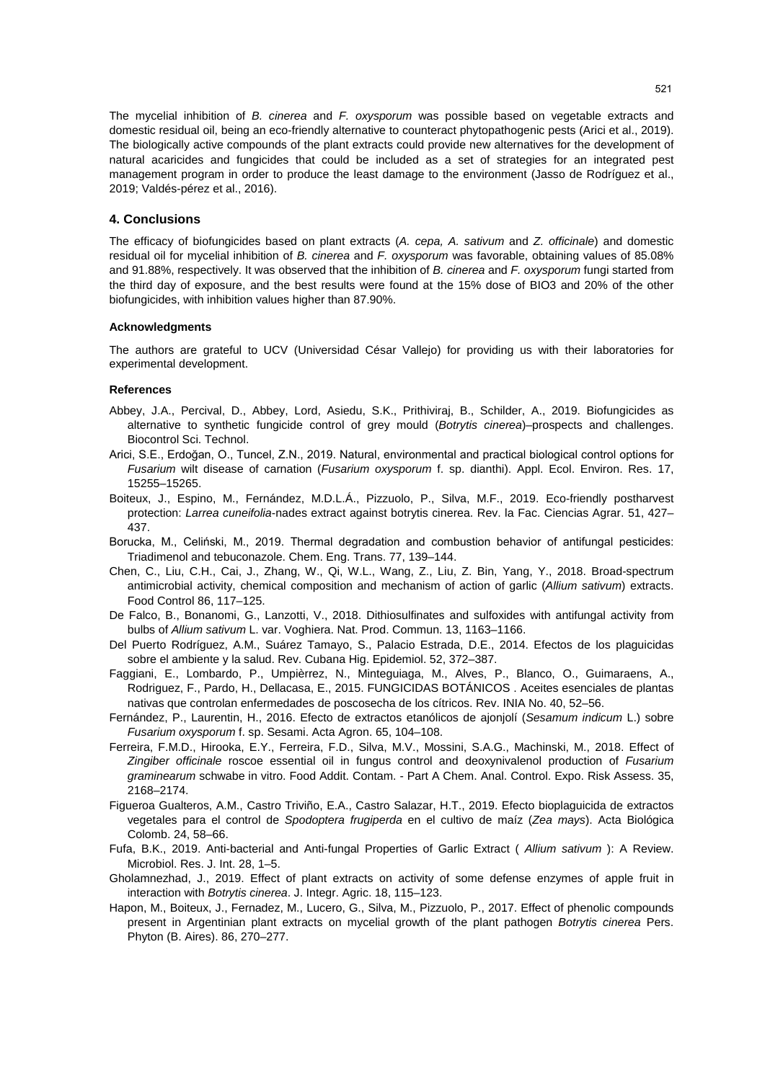The mycelial inhibition of *B. cinerea* and *F. oxysporum* was possible based on vegetable extracts and domestic residual oil, being an eco-friendly alternative to counteract phytopathogenic pests (Arici et al., 2019). The biologically active compounds of the plant extracts could provide new alternatives for the development of natural acaricides and fungicides that could be included as a set of strategies for an integrated pest management program in order to produce the least damage to the environment (Jasso de Rodríguez et al., 2019; Valdés-pérez et al., 2016).

#### **4. Conclusions**

The efficacy of biofungicides based on plant extracts (*A. cepa, A. sativum* and *Z. officinale*) and domestic residual oil for mycelial inhibition of *B. cinerea* and *F. oxysporum* was favorable, obtaining values of 85.08% and 91.88%, respectively. It was observed that the inhibition of *B. cinerea* and *F. oxysporum* fungi started from the third day of exposure, and the best results were found at the 15% dose of BIO3 and 20% of the other biofungicides, with inhibition values higher than 87.90%.

#### **Acknowledgments**

The authors are grateful to UCV (Universidad César Vallejo) for providing us with their laboratories for experimental development.

#### **References**

- Abbey, J.A., Percival, D., Abbey, Lord, Asiedu, S.K., Prithiviraj, B., Schilder, A., 2019. Biofungicides as alternative to synthetic fungicide control of grey mould (*Botrytis cinerea*)–prospects and challenges. Biocontrol Sci. Technol.
- Arici, S.E., Erdoğan, O., Tuncel, Z.N., 2019. Natural, environmental and practical biological control options for *Fusarium* wilt disease of carnation (*Fusarium oxysporum* f. sp. dianthi). Appl. Ecol. Environ. Res. 17, 15255–15265.
- Boiteux, J., Espino, M., Fernández, M.D.L.Á., Pizzuolo, P., Silva, M.F., 2019. Eco-friendly postharvest protection: *Larrea cuneifolia*-nades extract against botrytis cinerea. Rev. la Fac. Ciencias Agrar. 51, 427– 437.
- Borucka, M., Celiński, M., 2019. Thermal degradation and combustion behavior of antifungal pesticides: Triadimenol and tebuconazole. Chem. Eng. Trans. 77, 139–144.
- Chen, C., Liu, C.H., Cai, J., Zhang, W., Qi, W.L., Wang, Z., Liu, Z. Bin, Yang, Y., 2018. Broad-spectrum antimicrobial activity, chemical composition and mechanism of action of garlic (*Allium sativum*) extracts. Food Control 86, 117–125.
- De Falco, B., Bonanomi, G., Lanzotti, V., 2018. Dithiosulfinates and sulfoxides with antifungal activity from bulbs of *Allium sativum* L. var. Voghiera. Nat. Prod. Commun. 13, 1163–1166.
- Del Puerto Rodríguez, A.M., Suárez Tamayo, S., Palacio Estrada, D.E., 2014. Efectos de los plaguicidas sobre el ambiente y la salud. Rev. Cubana Hig. Epidemiol. 52, 372–387.
- Faggiani, E., Lombardo, P., Umpièrrez, N., Minteguiaga, M., Alves, P., Blanco, O., Guimaraens, A., Rodriguez, F., Pardo, H., Dellacasa, E., 2015. FUNGICIDAS BOTÁNICOS . Aceites esenciales de plantas nativas que controlan enfermedades de poscosecha de los cítricos. Rev. INIA No. 40, 52–56.
- Fernández, P., Laurentin, H., 2016. Efecto de extractos etanólicos de ajonjolí (*Sesamum indicum* L.) sobre *Fusarium oxysporum* f. sp. Sesami. Acta Agron. 65, 104–108.
- Ferreira, F.M.D., Hirooka, E.Y., Ferreira, F.D., Silva, M.V., Mossini, S.A.G., Machinski, M., 2018. Effect of *Zingiber officinale* roscoe essential oil in fungus control and deoxynivalenol production of *Fusarium graminearum* schwabe in vitro. Food Addit. Contam. - Part A Chem. Anal. Control. Expo. Risk Assess. 35, 2168–2174.
- Figueroa Gualteros, A.M., Castro Triviño, E.A., Castro Salazar, H.T., 2019. Efecto bioplaguicida de extractos vegetales para el control de *Spodoptera frugiperda* en el cultivo de maíz (*Zea mays*). Acta Biológica Colomb. 24, 58–66.
- Fufa, B.K., 2019. Anti-bacterial and Anti-fungal Properties of Garlic Extract ( *Allium sativum* ): A Review. Microbiol. Res. J. Int. 28, 1–5.
- Gholamnezhad, J., 2019. Effect of plant extracts on activity of some defense enzymes of apple fruit in interaction with *Botrytis cinerea*. J. Integr. Agric. 18, 115–123.
- Hapon, M., Boiteux, J., Fernadez, M., Lucero, G., Silva, M., Pizzuolo, P., 2017. Effect of phenolic compounds present in Argentinian plant extracts on mycelial growth of the plant pathogen *Botrytis cinerea* Pers. Phyton (B. Aires). 86, 270–277.